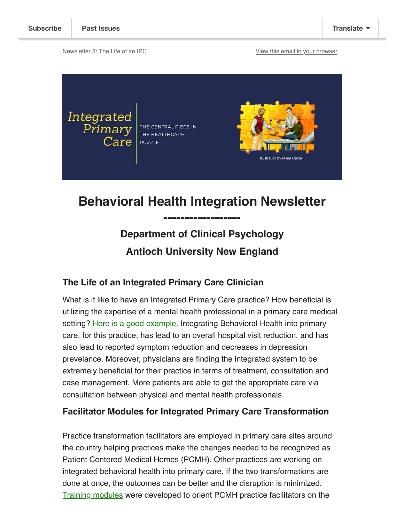Newsletter 3: The Life of an IPC **[View this email in your browser](https://mailchi.mp/b204e8896351/h?e=148648d69c)** 



# **Behavioral Health Integration Newsletter**

**------------------**

# **Department of Clinical Psychology Antioch University New England**

### **The Life of an Integrated Primary Care Clinician**

What is it like to have an Integrated Primary Care practice? How beneficial is utilizing the expertise of a mental health professional in a primary care medical setting? [Here is a good example.](http://www.apa.org/monitor/2018/05/integrated-practice.aspx) Integrating Behavioral Health into primary care, for this practice, has lead to an overall hospital visit reduction, and has also lead to reported symptom reduction and decreases in depression prevelance. Moreover, physicians are finding the integrated system to be extremely beneficial for their practice in terms of treatment, consultation and case management. More patients are able to get the appropriate care via consultation between physical and mental health professionals.

#### **Facilitator Modules for Integrated Primary Care Transformation**

Practice transformation facilitators are employed in primary care sites around the country helping practices make the changes needed to be recognized as Patient Centered Medical Homes (PCMH). Other practices are working on integrated behavioral health into primary care. If the two transformations are done at once, the outcomes can be better and the disruption is minimized. [Training modules](https://sites.google.com/view/nhpcbhworkforce/training/facilitator-training?authuser=0) were developed to orient PCMH practice facilitators on the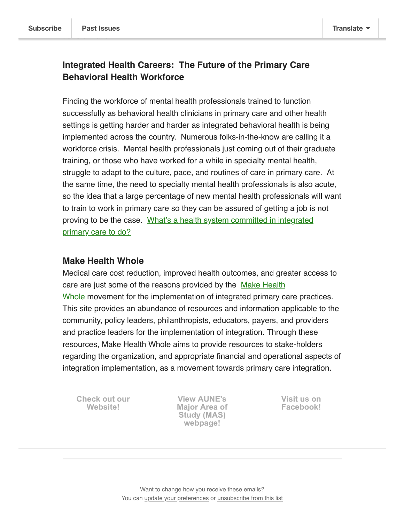transformation.

### **Integrated Health Careers: The Future of the Primary Care Behavioral Health Workforce**

Finding the workforce of mental health professionals trained to function successfully as behavioral health clinicians in primary care and other health settings is getting harder and harder as integrated behavioral health is being implemented across the country. Numerous folks-in-the-know are calling it a workforce crisis. Mental health professionals just coming out of their graduate training, or those who have worked for a while in specialty mental health, struggle to adapt to the culture, pace, and routines of care in primary care. At the same time, the need to specialty mental health professionals is also acute, so the idea that a large percentage of new mental health professionals will want to train to work in primary care so they can be assured of getting a job is not proving to be the case. What's a health system committed in integrated primary care to do?

#### **Make Health Whole**

Medical care cost reduction, improved health outcomes, and greater access to care are just some of the reasons provided by the Make Health Whole movement for the implementation of integrated primary care practices. This site provides an abundance of resources and information applicable to the community, policy leaders, philanthropists, educators, payers, and providers and practice leaders for the implementation of integration. Through these resources, Make Health Whole aims to provide resources to stake-holders regarding the organization, and appropriate financial and operational aspects of integration implementation, as a movement towards primary care integration.

**[Check out our](http://www.integratedprimarycare.com/) Website!**

**View AUNE's [Major Area of](https://www.antioch.edu/new-england/degrees-programs/psychology-degree/clinical-psychology-psyd/behavioral-health-integration-and-population-health/) Study (MAS) webpage!**

**[Visit us on](https://www.facebook.com/BehavioralHealthInteg/) Facebook!**